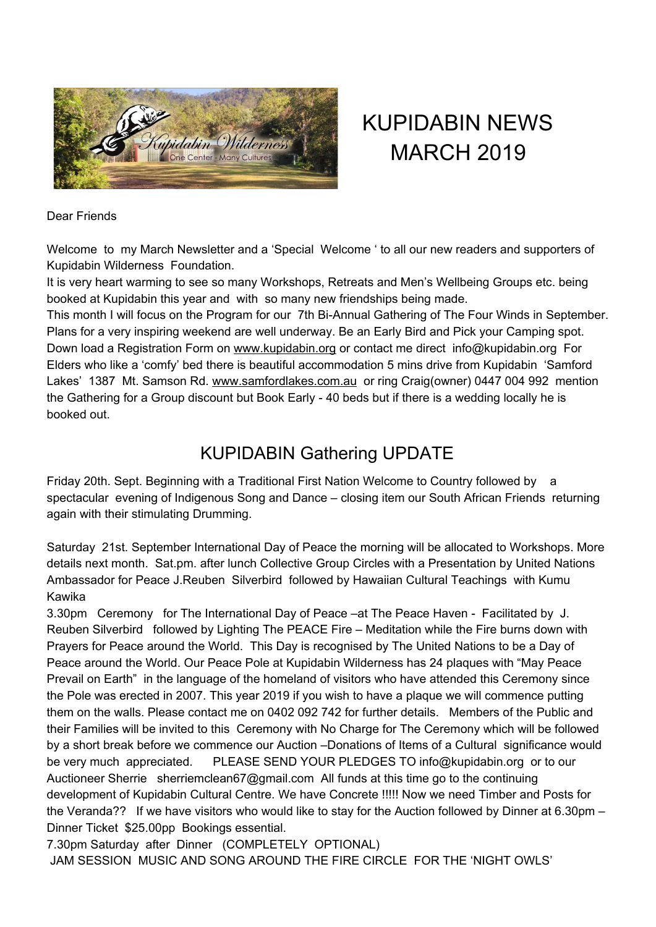

# KUPIDABIN NEWS MARCH 2019

#### Dear Friends

Welcome to my March Newsletter and a 'Special Welcome ' to all our new readers and supporters of Kupidabin Wilderness Foundation.

It is very heart warming to see so many Workshops, Retreats and Men's Wellbeing Groups etc. being booked at Kupidabin this year and with so many new friendships being made.

This month I will focus on the Program for our 7th Bi-Annual Gathering of The Four Winds in September. Plans for a very inspiring weekend are well underway. Be an Early Bird and Pick your Camping spot. Down load a Registration Form on [www.kupidabin.org](https://kupidabin.org/) or contact me direct info@kupidabin.org For Elders who like a 'comfy' bed there is beautiful accommodation 5 mins drive from Kupidabin 'Samford Lakes' 1387 Mt. Samson Rd. [www.samfordlakes.com.au](http://www.samfordlakes.com.au/) or ring Craig(owner) 0447 004 992 mention the Gathering for a Group discount but Book Early - 40 beds but if there is a wedding locally he is booked out.

### KUPIDABIN Gathering UPDATE

Friday 20th. Sept. Beginning with a Traditional First Nation Welcome to Country followed by a spectacular evening of Indigenous Song and Dance – closing item our South African Friends returning again with their stimulating Drumming.

Saturday 21st. September International Day of Peace the morning will be allocated to Workshops. More details next month. Sat.pm. after lunch Collective Group Circles with a Presentation by United Nations Ambassador for Peace J.Reuben Silverbird followed by Hawaiian Cultural Teachings with Kumu Kawika

3.30pm Ceremony for The International Day of Peace –at The Peace Haven - Facilitated by J. Reuben Silverbird followed by Lighting The PEACE Fire – Meditation while the Fire burns down with Prayers for Peace around the World. This Day is recognised by The United Nations to be a Day of Peace around the World. Our Peace Pole at Kupidabin Wilderness has 24 plaques with "May Peace Prevail on Earth" in the language of the homeland of visitors who have attended this Ceremony since the Pole was erected in 2007. This year 2019 if you wish to have a plaque we will commence putting them on the walls. Please contact me on 0402 092 742 for further details. Members of the Public and their Families will be invited to this Ceremony with No Charge for The Ceremony which will be followed by a short break before we commence our Auction –Donations of Items of a Cultural significance would be very much appreciated. PLEASE SEND YOUR PLEDGES TO info@kupidabin.org or to our Auctioneer Sherrie sherriemclean67@gmail.com All funds at this time go to the continuing development of Kupidabin Cultural Centre. We have Concrete !!!!! Now we need Timber and Posts for the Veranda?? If we have visitors who would like to stay for the Auction followed by Dinner at 6.30pm – Dinner Ticket \$25.00pp Bookings essential.

7.30pm Saturday after Dinner (COMPLETELY OPTIONAL)

JAM SESSION MUSIC AND SONG AROUND THE FIRE CIRCLE FOR THE 'NIGHT OWLS'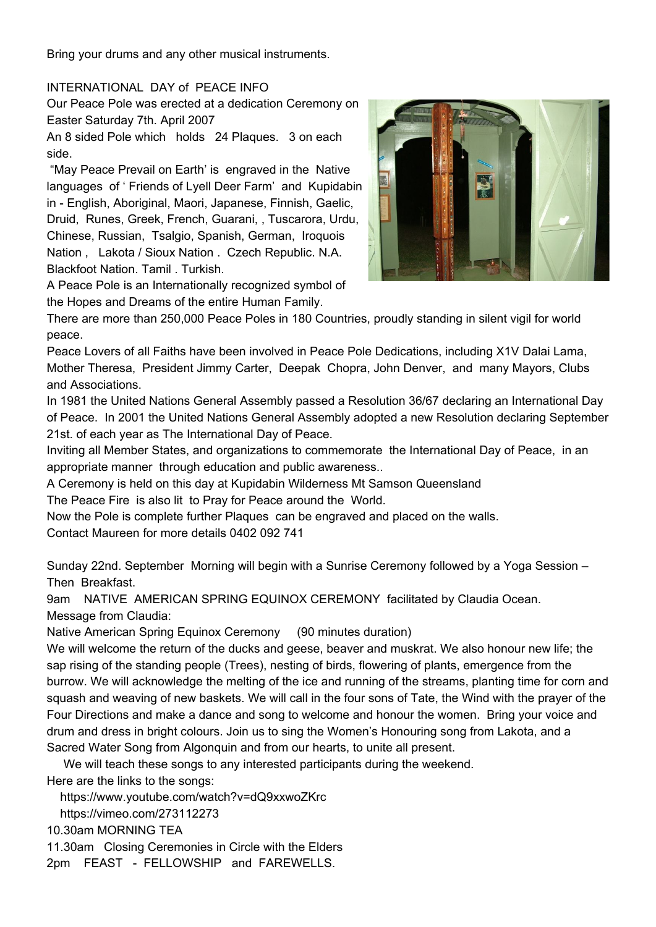Bring your drums and any other musical instruments.

#### INTERNATIONAL DAY of PEACE INFO

Our Peace Pole was erected at a dedication Ceremony on Easter Saturday 7th. April 2007

An 8 sided Pole which holds 24 Plaques. 3 on each side.

"May Peace Prevail on Earth' is engraved in the Native languages of ' Friends of Lyell Deer Farm' and Kupidabin in - English, Aboriginal, Maori, Japanese, Finnish, Gaelic, Druid, Runes, Greek, French, Guarani, , Tuscarora, Urdu, Chinese, Russian, Tsalgio, Spanish, German, Iroquois Nation , Lakota / Sioux Nation . Czech Republic. N.A. Blackfoot Nation. Tamil . Turkish.

A Peace Pole is an Internationally recognized symbol of the Hopes and Dreams of the entire Human Family.



There are more than 250,000 Peace Poles in 180 Countries, proudly standing in silent vigil for world peace.

Peace Lovers of all Faiths have been involved in Peace Pole Dedications, including X1V Dalai Lama, Mother Theresa, President Jimmy Carter, Deepak Chopra, John Denver, and many Mayors, Clubs and Associations.

In 1981 the United Nations General Assembly passed a Resolution 36/67 declaring an International Day of Peace. In 2001 the United Nations General Assembly adopted a new Resolution declaring September 21st. of each year as The International Day of Peace.

Inviting all Member States, and organizations to commemorate the International Day of Peace, in an appropriate manner through education and public awareness..

A Ceremony is held on this day at Kupidabin Wilderness Mt Samson Queensland

The Peace Fire is also lit to Pray for Peace around the World.

Now the Pole is complete further Plaques can be engraved and placed on the walls. Contact Maureen for more details 0402 092 741

Sunday 22nd. September Morning will begin with a Sunrise Ceremony followed by a Yoga Session – Then Breakfast.

9am NATIVE AMERICAN SPRING EQUINOX CEREMONY facilitated by Claudia Ocean. Message from Claudia:

Native American Spring Equinox Ceremony (90 minutes duration)

We will welcome the return of the ducks and geese, beaver and muskrat. We also honour new life; the sap rising of the standing people (Trees), nesting of birds, flowering of plants, emergence from the burrow. We will acknowledge the melting of the ice and running of the streams, planting time for corn and squash and weaving of new baskets. We will call in the four sons of Tate, the Wind with the prayer of the Four Directions and make a dance and song to welcome and honour the women. Bring your voice and drum and dress in bright colours. Join us to sing the Women's Honouring song from Lakota, and a Sacred Water Song from Algonquin and from our hearts, to unite all present.

We will teach these songs to any interested participants during the weekend.

Here are the links to the songs:

https://www.youtube.com/watch?v=dQ9xxwoZKrc

https://vimeo.com/273112273

10.30am MORNING TEA

11.30am Closing Ceremonies in Circle with the Elders

2pm FEAST - FELLOWSHIP and FAREWELLS.